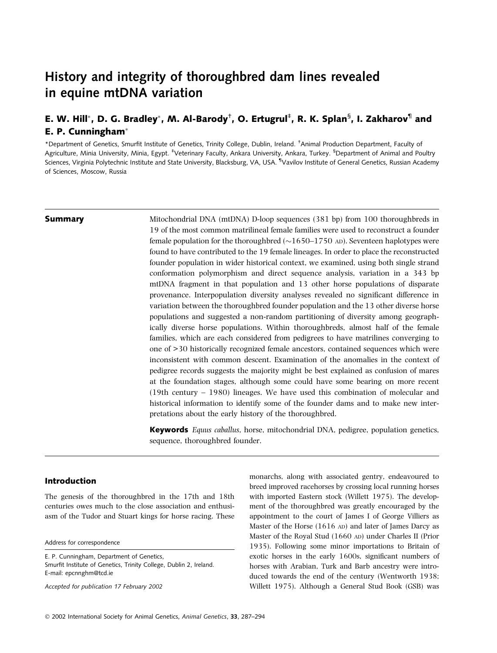# History and integrity of thoroughbred dam lines revealed in equine mtDNA variation

## E. W. Hill\*, D. G. Bradley\*, M. Al-Barody<sup>†</sup>, O. Ertugrul<sup>‡</sup>, R. K. Splan<sup>§</sup>, I. Zakharov<sup>¶</sup> and E. P. Cunningham

\*Department of Genetics, Smurfit Institute of Genetics, Trinity College, Dublin, Ireland. † Animal Production Department, Faculty of Agriculture, Minia University, Minia, Egypt. <sup>‡</sup>Veterinary Faculty, Ankara University, Ankara, Turkey. <sup>§</sup>Department of Animal and Poultry Sciences, Virginia Polytechnic Institute and State University, Blacksburg, VA, USA. <sup>¶</sup>Vavilov Institute of General Genetics, Russian Academy of Sciences, Moscow, Russia

**Summary** Mitochondrial DNA (mtDNA) D-loop sequences (381 bp) from 100 thoroughbreds in 19 of the most common matrilineal female families were used to reconstruct a founder female population for the thoroughbred ( $\sim$ 1650–1750 AD). Seventeen haplotypes were found to have contributed to the 19 female lineages. In order to place the reconstructed founder population in wider historical context, we examined, using both single strand conformation polymorphism and direct sequence analysis, variation in a 343 bp mtDNA fragment in that population and 13 other horse populations of disparate provenance. Interpopulation diversity analyses revealed no significant difference in variation between the thoroughbred founder population and the 13 other diverse horse populations and suggested a non-random partitioning of diversity among geographically diverse horse populations. Within thoroughbreds, almost half of the female families, which are each considered from pedigrees to have matrilines converging to one of >30 historically recognized female ancestors, contained sequences which were inconsistent with common descent. Examination of the anomalies in the context of pedigree records suggests the majority might be best explained as confusion of mares at the foundation stages, although some could have some bearing on more recent (19th century – 1980) lineages. We have used this combination of molecular and historical information to identify some of the founder dams and to make new interpretations about the early history of the thoroughbred.

> **Keywords** Equus caballus, horse, mitochondrial DNA, pedigree, population genetics, sequence, thoroughbred founder.

### Introduction

The genesis of the thoroughbred in the 17th and 18th centuries owes much to the close association and enthusiasm of the Tudor and Stuart kings for horse racing. These

Address for correspondence

E. P. Cunningham, Department of Genetics, Smurfit Institute of Genetics, Trinity College, Dublin 2, Ireland. E-mail: epcnnghm@tcd.ie

Accepted for publication 17 February 2002

monarchs, along with associated gentry, endeavoured to breed improved racehorses by crossing local running horses with imported Eastern stock (Willett 1975). The development of the thoroughbred was greatly encouraged by the appointment to the court of James I of George Villiers as Master of the Horse (1616 AD) and later of James Darcy as Master of the Royal Stud (1660 AD) under Charles II (Prior 1935). Following some minor importations to Britain of exotic horses in the early 1600s, significant numbers of horses with Arabian, Turk and Barb ancestry were introduced towards the end of the century (Wentworth 1938; Willett 1975). Although a General Stud Book (GSB) was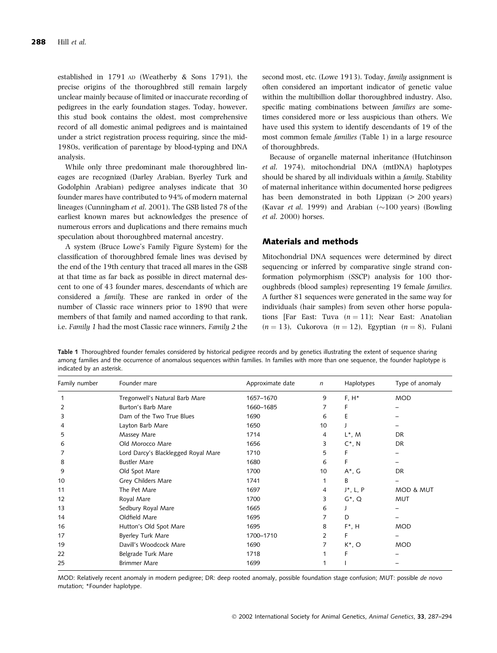established in 1791 AD (Weatherby & Sons 1791), the precise origins of the thoroughbred still remain largely unclear mainly because of limited or inaccurate recording of pedigrees in the early foundation stages. Today, however, this stud book contains the oldest, most comprehensive record of all domestic animal pedigrees and is maintained under a strict registration process requiring, since the mid-1980s, verification of parentage by blood-typing and DNA analysis.

While only three predominant male thoroughbred lineages are recognized (Darley Arabian, Byerley Turk and Godolphin Arabian) pedigree analyses indicate that 30 founder mares have contributed to 94% of modern maternal lineages (Cunningham et al. 2001). The GSB listed 78 of the earliest known mares but acknowledges the presence of numerous errors and duplications and there remains much speculation about thoroughbred maternal ancestry.

A system (Bruce Lowe's Family Figure System) for the classification of thoroughbred female lines was devised by the end of the 19th century that traced all mares in the GSB at that time as far back as possible in direct maternal descent to one of 43 founder mares, descendants of which are considered a family. These are ranked in order of the number of Classic race winners prior to 1890 that were members of that family and named according to that rank, i.e. Family 1 had the most Classic race winners, Family 2 the

second most, etc. (Lowe 1913). Today, family assignment is often considered an important indicator of genetic value within the multibillion dollar thoroughbred industry. Also, specific mating combinations between families are sometimes considered more or less auspicious than others. We have used this system to identify descendants of 19 of the most common female families (Table 1) in a large resource of thoroughbreds.

Because of organelle maternal inheritance (Hutchinson et al. 1974), mitochondrial DNA (mtDNA) haplotypes should be shared by all individuals within a family. Stability of maternal inheritance within documented horse pedigrees has been demonstrated in both Lippizan ( $> 200$  years) (Kavar et al. 1999) and Arabian  $(\sim]100$  years) (Bowling et al. 2000) horses.

#### Materials and methods

Mitochondrial DNA sequences were determined by direct sequencing or inferred by comparative single strand conformation polymorphism (SSCP) analysis for 100 thoroughbreds (blood samples) representing 19 female families. A further 81 sequences were generated in the same way for individuals (hair samples) from seven other horse populations [Far East: Tuva  $(n = 11)$ ; Near East: Anatolian  $(n = 13)$ , Cukorova  $(n = 12)$ , Egyptian  $(n = 8)$ , Fulani

Table 1 Thoroughbred founder females considered by historical pedigree records and by genetics illustrating the extent of sequence sharing among families and the occurrence of anomalous sequences within families. In families with more than one sequence, the founder haplotype is indicated by an asterisk.

| Family number | Founder mare                        | Approximate date | $\mathsf{n}$ | Haplotypes   | Type of anomaly |
|---------------|-------------------------------------|------------------|--------------|--------------|-----------------|
|               | Tregonwell's Natural Barb Mare      | 1657-1670        | 9            | $F, H^*$     | <b>MOD</b>      |
|               | Burton's Barb Mare                  | 1660-1685        |              | F            |                 |
| 3             | Dam of the Two True Blues           | 1690             | 6            | Ε            |                 |
|               | Layton Barb Mare                    | 1650             | 10           |              |                 |
| 5             | Massey Mare                         | 1714             | 4            | $L^*$ , M    | <b>DR</b>       |
| 6             | Old Morocco Mare                    | 1656             | 3            | $C^*$ , N    | <b>DR</b>       |
|               | Lord Darcy's Blacklegged Royal Mare | 1710             | 5            | F            |                 |
| 8             | <b>Bustler Mare</b>                 | 1680             | 6            | F            |                 |
| 9             | Old Spot Mare                       | 1700             | 10           | $A^*$ , G    | <b>DR</b>       |
| 10            | Grey Childers Mare                  | 1741             |              | B            |                 |
| 11            | The Pet Mare                        | 1697             | 4            | $J^*$ , L, P | MOD & MUT       |
| 12            | Royal Mare                          | 1700             | 3            | $G^*$ , Q    | <b>MUT</b>      |
| 13            | Sedbury Royal Mare                  | 1665             | 6            |              |                 |
| 14            | Oldfield Mare                       | 1695             | 7            | D            |                 |
| 16            | Hutton's Old Spot Mare              | 1695             | 8            | $F^*$ , H    | <b>MOD</b>      |
| 17            | <b>Byerley Turk Mare</b>            | 1700-1710        | 2            | F            |                 |
| 19            | Davill's Woodcock Mare              | 1690             | 7            | $K^*$ , O    | <b>MOD</b>      |
| 22            | Belgrade Turk Mare                  | 1718             |              | F            |                 |
| 25            | <b>Brimmer Mare</b>                 | 1699             |              |              |                 |

MOD: Relatively recent anomaly in modern pedigree; DR: deep rooted anomaly, possible foundation stage confusion; MUT: possible de novo mutation; \*Founder haplotype.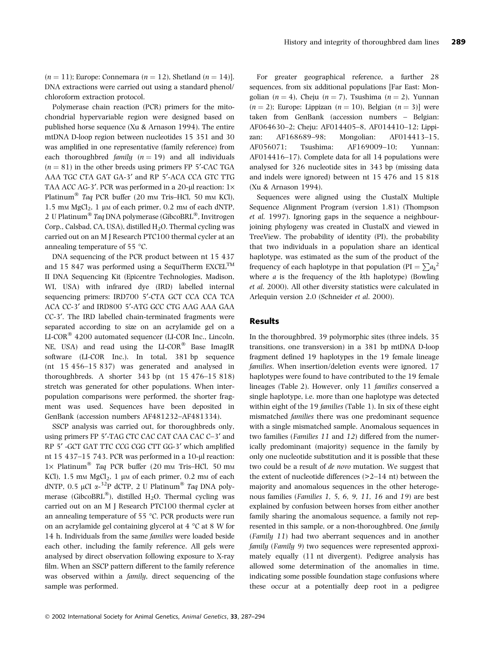$(n = 11)$ ; Europe: Connemara  $(n = 12)$ , Shetland  $(n = 14)$ ]. DNA extractions were carried out using a standard phenol/ chloroform extraction protocol.

Polymerase chain reaction (PCR) primers for the mitochondrial hypervariable region were designed based on published horse sequence (Xu & Arnason 1994). The entire mtDNA D-loop region between nucleotides 15 351 and 30 was amplified in one representative (family reference) from each thoroughbred family  $(n = 19)$  and all individuals  $(n = 81)$  in the other breeds using primers FP 5'-CAC TGA AAA TGC CTA GAT GA-3¢ and RP 5¢-ACA CCA GTC TTG TAA ACC AG-3'. PCR was performed in a 20-µl reaction:  $1\times$ Platinum<sup>®</sup> Taq PCR buffer (20 mm Tris–HCl, 50 mm KCl), 1.5 mm  $MgCl<sub>2</sub>$ , 1 µm of each primer, 0.2 mm of each dNTP, 2 U Platinum<sup>®</sup> Taq DNA polymerase (GibcoBRL<sup>®</sup>, Invitrogen Corp., Calsbad, CA, USA), distilled  $H_2O$ . Thermal cycling was carried out on an M J Research PTC100 thermal cycler at an annealing temperature of 55 $\degree$ C.

DNA sequencing of the PCR product between nt 15 437 and 15 847 was performed using a SequiTherm EXCEL<sup>TM</sup> II DNA Sequencing Kit (Epicentre Technologies, Madison, WI, USA) with infrared dye (IRD) labelled internal sequencing primers: IRD700 5'-CTA GCT CCA CCA TCA ACA CC-3¢ and IRD800 5¢-ATG GCC CTG AAG AAA GAA CC-3'. The IRD labelled chain-terminated fragments were separated according to size on an acrylamide gel on a LI-COR 4200 automated sequencer (LI-COR Inc., Lincoln, NE, USA) and read using the  $LI-COR^{\otimes}$  Base ImagIR software (LI-COR Inc.). In total, 381 bp sequence (nt 15 456–15 837) was generated and analysed in thoroughbreds. A shorter  $343$  bp (nt  $15\,476-15\,818$ ) stretch was generated for other populations. When interpopulation comparisons were performed, the shorter fragment was used. Sequences have been deposited in GenBank (accession numbers AF481232–AF481334).

SSCP analysis was carried out, for thoroughbreds only, using primers FP 5'-TAG CTC CAC CAT CAA CAC C-3' and RP 5'-GCT GAT TTC CCG CGG CTT GG-3' which amplified nt 15 437–15 743. PCR was performed in a  $10$ -µl reaction:  $1\times$  Platinum<sup>®</sup> Taq PCR buffer (20 mm Tris–HCl, 50 mm KCl),  $1.5 \text{ mm } \text{MgCl}_2$ ,  $1 \text{ \mu}$  of each primer,  $0.2 \text{ mm }$  of each dNTP, 0.5 µCI  $\alpha$ -<sup>32</sup>P dCTP, 2 U Platinum<sup>®</sup> Taq DNA polymerase (GibcoBRL<sup>®</sup>), distilled H<sub>2</sub>O. Thermal cycling was carried out on an M J Research PTC100 thermal cycler at an annealing temperature of 55  $\degree$ C. PCR products were run on an acrylamide gel containing glycerol at  $4 \degree C$  at  $8 \degree W$  for 14 h. Individuals from the same families were loaded beside each other, including the family reference. All gels were analysed by direct observation following exposure to X-ray film. When an SSCP pattern different to the family reference was observed within a family, direct sequencing of the sample was performed.

For greater geographical reference, a further 28 sequences, from six additional populations [Far East: Mongolian  $(n = 4)$ , Cheju  $(n = 7)$ , Tsushima  $(n = 2)$ , Yunnan  $(n = 2)$ ; Europe: Lippizan  $(n = 10)$ , Belgian  $(n = 3)$ ] were taken from GenBank (accession numbers – Belgian: AF064630–2; Cheju: AF014405–8, AF014410–12; Lippizan: AF168689–98; Mongolian: AF014413–15, AF056071; Tsushima: AF169009–10; Yunnan: AF014416–17). Complete data for all 14 populations were analysed for 326 nucleotide sites in 343 bp (missing data and indels were ignored) between nt 15 476 and 15 818 (Xu & Arnason 1994).

Sequences were aligned using the ClustalX Multiple Sequence Alignment Program (version 1.81) (Thompson et al. 1997). Ignoring gaps in the sequence a neighbourjoining phylogeny was created in ClustalX and viewed in TreeView. The probability of identity (PI), the probability that two individuals in a population share an identical haplotype, was estimated as the sum of the product of the frequency of each haplotype in that population (PI =  $\sum a_k^2$ where  $a$  is the frequency of the kth haplotype) (Bowling et al. 2000). All other diversity statistics were calculated in Arlequin version 2.0 (Schneider et al. 2000).

#### Results

In the thoroughbred, 39 polymorphic sites (three indels, 35 transitions, one transversion) in a 381 bp mtDNA D-loop fragment defined 19 haplotypes in the 19 female lineage families. When insertion/deletion events were ignored, 17 haplotypes were found to have contributed to the 19 female lineages (Table 2). However, only 11 families conserved a single haplotype, i.e. more than one haplotype was detected within eight of the 19 families (Table 1). In six of these eight mismatched families there was one predominant sequence with a single mismatched sample. Anomalous sequences in two families (Families 11 and 12) differed from the numerically predominant (majority) sequence in the family by only one nucleotide substitution and it is possible that these two could be a result of de novo mutation. We suggest that the extent of nucleotide differences (>2–14 nt) between the majority and anomalous sequences in the other heterogenous families (Families 1, 5, 6, 9, 11, 16 and 19) are best explained by confusion between horses from either another family sharing the anomalous sequence, a family not represented in this sample, or a non-thoroughbred. One family (Family 11) had two aberrant sequences and in another family (Family 9) two sequences were represented approximately equally (11 nt divergent). Pedigree analysis has allowed some determination of the anomalies in time, indicating some possible foundation stage confusions where these occur at a potentially deep root in a pedigree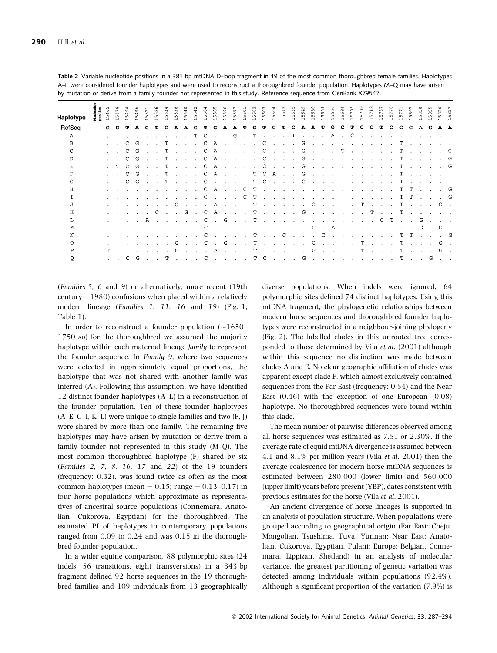| Haplotype    | Nucleot!<br>position | <b>vo</b><br>4<br>S | $\sim$<br>₩<br>S<br>$\rightarrow$                         | $\sigma$<br>¢<br>Ln. | $\sigma$<br>4<br>S.<br>$\mathbf{\mathbf{d}}$ | $\sim$<br><b>LO</b><br>ഹ<br>$\mathbf{\mathbf{d}}$ | $\sim$<br>m<br>5<br>$\mathbf -$ | ∽<br>$\sim$<br>ഗ     | m<br>5               | 4<br>in.<br>ഗ<br>$\mathbf{H}$ | 4<br>ഥ<br>5<br>$\mathbf{\mathbf{r}}$        | ∞<br>in.<br>w<br>$\mathbf{\mathbf{r}}$ | $\infty$<br>$\Omega$<br>m<br>$\mathbf{H}$ | $\sigma$<br>LO <sub>1</sub><br>Ln<br>$\blacksquare$ | m<br>s                      | $\circ$<br>Ō<br>5    | c0<br>n.<br>$\overline{ }$ | $\circ$<br>Ō<br>w<br>$\overline{\phantom{0}}$ | 0<br>ŵ<br>n.<br>$\overline{ }$ | v<br>ഗ<br>$\mathbf{H}$          | ١o<br><b>un</b><br>$\mathbf{f}$ | O<br>w<br>$\blacksquare$          | m<br>$\circ$<br>w<br>$\rightarrow$ | ഗ<br><b>v</b><br>w<br>$\rightarrow$            | G<br>G<br>S<br>$\rightarrow$ | $\infty$<br>G<br>m<br>$\rightarrow$ | ←<br>r<br>in.<br>$\rightarrow$ | r<br>m<br>$\rightarrow$ | ∼<br>m<br>$\rightarrow$ | $\sim$<br>$\overline{ }$<br>in.<br>$^{\rm -1}$                                                                  | $\sim$<br>S<br>$\blacksquare$ | ∼<br>$\sim$<br>ıΩ.<br>$\mathbf{H}$ | $\circ$<br>ō<br>s.<br>$\blacksquare$ | $\mathbf{\mathbf{r}}$<br>$\infty$<br>m<br>$\mathbf{\mathbf{d}}$ | $\sim$<br>$^{\circ}$<br>r.    | $\sim$<br>58<br>$\mathbf{\mathbf{d}}$ | $\sim$<br>$\infty$<br>in.<br>$\mathbf{H}$ |
|--------------|----------------------|---------------------|-----------------------------------------------------------|----------------------|----------------------------------------------|---------------------------------------------------|---------------------------------|----------------------|----------------------|-------------------------------|---------------------------------------------|----------------------------------------|-------------------------------------------|-----------------------------------------------------|-----------------------------|----------------------|----------------------------|-----------------------------------------------|--------------------------------|---------------------------------|---------------------------------|-----------------------------------|------------------------------------|------------------------------------------------|------------------------------|-------------------------------------|--------------------------------|-------------------------|-------------------------|-----------------------------------------------------------------------------------------------------------------|-------------------------------|------------------------------------|--------------------------------------|-----------------------------------------------------------------|-------------------------------|---------------------------------------|-------------------------------------------|
| RefSeg       |                      | C.                  | c.                                                        | т                    | A                                            | G                                                 | т                               | c                    | А                    | A                             | с                                           | т                                      | G                                         | А                                                   | А                           | т                    | с                          | т                                             | G                              | т                               | с                               | А                                 | A                                  | T                                              | G                            | c                                   | т                              | с                       | c                       | т                                                                                                               | C                             | C                                  | $\mathbf{C}$                         | A                                                               | C                             |                                       | A A                                       |
| $\mathbf{A}$ |                      |                     |                                                           |                      |                                              |                                                   |                                 |                      |                      |                               | т                                           | C                                      | $\sim$                                    | $\sim$                                              | G                           | $\sim$               | т                          | $\sim$                                        | $\sim$ 10 $\mu$                | $\sim$                          | т                               | $\mathbf{r}$                      |                                    |                                                | A                            | $\sim$                              | C.                             |                         |                         |                                                                                                                 |                               |                                    |                                      |                                                                 |                               |                                       |                                           |
| в            |                      |                     | $\sim$ 100 $\mu$                                          | C                    | G                                            |                                                   | $\ddot{\phantom{a}}$            | т                    | $\ddot{\phantom{0}}$ | $\cdot$                       | $\ddot{\phantom{a}}$                        | - C                                    | A                                         | $\sim$                                              | $\sim$                      | $\sim$               |                            | C                                             | $\sim$                         | $\sim 10^{-1}$                  | $\sim$                          | G                                 |                                    |                                                | $\sim$ $\sim$                | $\ddot{\phantom{a}}$                | $\sim$                         |                         |                         |                                                                                                                 | $\sim$                        | T                                  | $\sim$                               | $\sim$                                                          |                               |                                       |                                           |
| $\mathbf{C}$ |                      |                     | $\mathbf{L} = \mathbf{L}$                                 | C                    | G                                            | $\sim$                                            | $\sim$                          | т                    | $\sim$               | $\sim$                        | $\sim$                                      | $\mathbf{C}$                           | $\mathbf{A}$                              | $\sim 10^{-1}$                                      | $\sim 10^7$                 | $\sim$               |                            | $\cdot$ C                                     | <b>College</b>                 | $\sim$                          | $\sim$                          |                                   | $G \quad . \quad . \quad .$        |                                                |                              |                                     |                                |                         |                         | $T \cdot \cdot \cdot \cdot \cdot$                                                                               |                               | $\mathbf T$                        | $\sim$                               | $\sim$ $\sim$                                                   |                               |                                       | . G                                       |
| D            |                      |                     | $\mathcal{L}^{\text{max}}$ and $\mathcal{L}^{\text{max}}$ | C                    | G                                            |                                                   | $\sim$                          | т                    |                      | $\ddot{\phantom{0}}$          | $\ddot{\phantom{a}}$                        | <sub>c</sub>                           | $\mathbf{A}$                              | $\sim$                                              | $\ddot{\phantom{0}}$        | $\sim$               | $\sim 10^{-1}$             | C                                             | $\sim$                         | $\sim$                          | $\ddot{\phantom{a}}$            | G                                 | $\ddot{\phantom{0}}$               |                                                | $\sim$ $\sim$                | $\sim$                              |                                |                         |                         | the contract of the contract of the contract of the contract of the contract of the contract of the contract of |                               | т                                  |                                      | <b>Contract Contract</b>                                        |                               |                                       | $\cdot$ G                                 |
| Е            |                      |                     | . т                                                       | $\mathbf{C}$         | G                                            | $\sim$                                            | $\sim$                          | т                    | $\sim$               | $\sim$                        | $\mathbf{r}$                                | C                                      | A                                         | $\sim$                                              | $\sim$                      | $\sim$               |                            |                                               | $C \quad . \quad .$            |                                 | $\mathbf{A}$                    | G                                 | <b>Contract Contract Street</b>    |                                                | $\sim$                       | $\mathbf{r}$                        | $\sim$                         | $\mathbf{r}$            |                         |                                                                                                                 | $\mathbf{r}$                  | T                                  | $\sim 10^{-11}$                      |                                                                 | . G                           |                                       |                                           |
| F            |                      |                     | $\mathbf{r} = \mathbf{r} \times \mathbf{r}$               | $\mathbf C$          | G                                            | $\sim$                                            | $\sim$ $\sim$                   | т                    |                      |                               | $\mathbf{L} = \mathbf{L} \times \mathbf{L}$ | $\mathbf{C}$                           | A                                         |                                                     | $\sim$ $\sim$ $\sim$ $\sim$ |                      |                            | TCA                                           |                                |                                 |                                 | G                                 |                                    | $\mathbf{r}$ and $\mathbf{r}$ and $\mathbf{r}$ |                              |                                     |                                |                         |                         | the contract of the contract of the                                                                             |                               | т                                  |                                      |                                                                 | the company of the company of |                                       |                                           |
| G            |                      |                     | $\mathcal{L}^{\text{max}}$ and $\mathcal{L}^{\text{max}}$ |                      | $C$ $G$                                      | $\sim$                                            | $\sim$                          | т                    |                      | the contract of the con-      |                                             | $\mathbf{C}$                           | $\sim 100$                                |                                                     | <b>Contract Contract</b>    | $\sim 10^{-11}$      |                            |                                               |                                |                                 |                                 | $T$ C $\ldots$ G $\ldots$         |                                    |                                                |                              | $\sim 100$                          |                                |                         |                         | the contract of the contract of the con-                                                                        |                               | T                                  | $\sim$                               | $\sim$                                                          |                               |                                       |                                           |
| н            |                      |                     | and the company of the                                    |                      |                                              |                                                   | $\sim$                          |                      |                      | $\sim$                        | $\sim$                                      | C                                      | A                                         |                                                     | $\sim$ $\sim$               | C                    | т                          | $\ddot{\phantom{a}}$                          | $\sim$                         | $\ddot{\phantom{1}}$            | $\sim$                          | $\ddot{\phantom{0}}$              |                                    | $\cdot$                                        | $\sim$                       | $\sim$                              | <b>Contract Contract</b>       |                         |                         | $\sim$                                                                                                          | $\ddot{\phantom{a}}$          | т                                  | т                                    |                                                                 | <b>Contract Contract</b>      | .G                                    |                                           |
| T.           |                      |                     | $\alpha$ . The $\alpha$                                   |                      |                                              | $\cdot$                                           |                                 |                      |                      |                               | $\ddot{\phantom{a}}$                        | C                                      | $\sim$                                    | $\sim$                                              | $\sim$                      | C                    | т                          | $\cdot$                                       | $\ddot{\phantom{0}}$           | $\sim$                          | $\sim$                          |                                   |                                    |                                                |                              |                                     |                                |                         |                         | <b>Service</b>                                                                                                  | $\sim$                        |                                    | т т                                  |                                                                 | <b>Contract Contract</b>      |                                       | . G                                       |
| Т.           |                      |                     | and a strategic and                                       |                      |                                              | $\sim$ 100 $\pm$                                  | $\sim$                          | $\ddot{\phantom{0}}$ | G                    | $\sim$                        |                                             | <b>Contract Contract</b>               |                                           |                                                     |                             | A                    | т                          |                                               |                                |                                 |                                 | the company of the company        | G                                  |                                                | $\ldots$ . $\ldots$ T        |                                     |                                |                         |                         | <b>Carl Carl Carl</b>                                                                                           |                               | T                                  |                                      |                                                                 | $\cdot$ G $\cdot$             |                                       |                                           |
| K            |                      |                     | and the company of the                                    |                      |                                              | $\sim$                                            | C                               | $\cdot$              | $\sim$               | G                             | $\sim 100$                                  | $\mathbf{C}$                           | A                                         |                                                     | <b>Service</b> State        | $\cdot$              | т                          |                                               | the company of the company     |                                 | $\sim$                          | G                                 |                                    | $\sim$ $\sim$ $\sim$                           |                              | $\sim$                              | $\sim$                         | $\sim$                  | т                       | <b>Contract Contract</b>                                                                                        |                               | т                                  | $\ddot{\phantom{1}}$                 | $\sim$                                                          |                               |                                       |                                           |
| т.           |                      |                     | $\sim$ $\sim$                                             |                      |                                              | A                                                 | $\ddot{\phantom{1}}$            | $\ddot{\phantom{a}}$ |                      |                               |                                             | C                                      | $\sim$                                    | G                                                   | $\overline{\phantom{a}}$    | $\sim$               | т                          | $\sim$                                        | $\ddot{\phantom{1}}$           |                                 |                                 |                                   |                                    |                                                |                              |                                     |                                |                         | $\ddot{\phantom{a}}$    | C                                                                                                               | т                             | in 1919.                           | $\sim$                               | G                                                               |                               |                                       |                                           |
| М            |                      |                     | $\sim$ $ \sim$                                            |                      |                                              |                                                   |                                 |                      |                      |                               |                                             | C                                      |                                           |                                                     |                             |                      |                            |                                               |                                | $\sim$ $-$                      | $\ddot{\phantom{0}}$            | $\sim$                            | G                                  |                                                | A                            | $\ddot{\phantom{a}}$                | $\ddot{\phantom{1}}$           | $\ddot{\phantom{a}}$    |                         |                                                                                                                 |                               |                                    |                                      | G                                                               | $\sim$ 100 $\mu$              |                                       | G.                                        |
| N            |                      |                     |                                                           |                      |                                              |                                                   |                                 | $\cdot$              |                      |                               |                                             | C                                      | $\sim$                                    | $\sim$                                              | $\mathbf{r}$                | $\mathbf{r}$         | т                          | <b>Contract Contract Contract</b>             |                                | C.                              |                                 | <b>Contract Contract Contract</b> |                                    | C.                                             | $\sim$                       | $\sim$                              | $\sim$                         | $\sim$                  | $\sim$                  |                                                                                                                 | $\sim$                        | т                                  | т                                    |                                                                 |                               |                                       | . G                                       |
| ∩            |                      |                     | $\sim$ $\sim$                                             |                      |                                              |                                                   |                                 |                      | G                    |                               |                                             | C                                      | $\ddot{\phantom{1}}$                      | G                                                   | $\bullet$                   | $\ddot{\phantom{a}}$ | т                          | $\cdot$                                       | $\ddot{\phantom{1}}$           | $\ddot{\phantom{a}}$            | $\cdot$                         | $\ddot{\phantom{0}}$              | G                                  |                                                | $\ddot{\phantom{a}}$         | $\sim$                              | $\sim$                         | т                       | $\sim$                  | $\ddot{\phantom{0}}$                                                                                            | $\ddot{\phantom{a}}$          | т                                  |                                      |                                                                 |                               | G                                     |                                           |
| P            |                      | т                   | $\ddot{\phantom{1}}$                                      |                      |                                              |                                                   |                                 |                      | G                    |                               |                                             |                                        | A                                         |                                                     |                             |                      | т                          | $\sim$                                        | $\sim$                         | $\sim$                          | $\cdot$                         |                                   | G                                  | $\sim$                                         |                              | $\cdot$                             | $\cdot$                        | т                       |                         |                                                                                                                 |                               | т                                  |                                      |                                                                 |                               |                                       | G.                                        |
| $\circ$      |                      |                     | $\mathbf{r} = \mathbf{r}$ .                               |                      | $C$ $G$                                      | $\ddot{\phantom{0}}$                              | $\ddot{\phantom{a}}$            | т                    |                      | $\sim$ $\sim$                 | $\ddot{\phantom{0}}$                        | <sub>c</sub>                           | $\sim$                                    | $\sim$                                              | $\ddot{\phantom{a}}$        | $\ddot{\phantom{a}}$ |                            | т с                                           |                                | <b>Contract Contract Street</b> | $\sim$                          | G                                 | $\ddot{\phantom{0}}$               |                                                |                              | $\ddot{\phantom{a}}$                | $\sim 10^{-1}$                 | $\ddot{\phantom{a}}$    |                         |                                                                                                                 |                               | т                                  | $\ddot{\phantom{a}}$                 | $\ddot{\phantom{0}}$                                            | G                             |                                       |                                           |

Table 2 Variable nucleotide positions in a 381 bp mtDNA D-loop fragment in 19 of the most common thoroughbred female families. Haplotypes A–L were considered founder haplotypes and were used to reconstruct a thoroughbred founder population. Haplotypes M–Q may have arisen by mutation or derive from a family founder not represented in this study. Reference sequence from GenBank X79547.

(Families 5, 6 and 9) or alternatively, more recent (19th century – 1980) confusions when placed within a relatively modern lineage (Families 1, 11, 16 and 19) (Fig. 1; Table 1).

In order to reconstruct a founder population  $(\sim]1650-$ 1750 AD) for the thoroughbred we assumed the majority haplotype within each maternal lineage family to represent the founder sequence. In Family 9, where two sequences were detected in approximately equal proportions, the haplotype that was not shared with another family was inferred (A). Following this assumption, we have identified 12 distinct founder haplotypes (A–L) in a reconstruction of the founder population. Ten of these founder haplotypes (A–E, G–I, K–L) were unique to single families and two (F, J) were shared by more than one family. The remaining five haplotypes may have arisen by mutation or derive from a family founder not represented in this study (M–Q). The most common thoroughbred haplotype (F) shared by six (Families 2, 7, 8, 16, 17 and 22) of the 19 founders (frequency: 0.32), was found twice as often as the most common haplotypes (mean  $= 0.15$ ; range  $= 0.13 - 0.17$ ) in four horse populations which approximate as representatives of ancestral source populations (Connemara, Anatolian, Cukorova, Egyptian) for the thoroughbred. The estimated PI of haplotypes in contemporary populations ranged from 0.09 to 0.24 and was 0.15 in the thoroughbred founder population.

In a wider equine comparison, 88 polymorphic sites (24 indels, 56 transitions, eight transversions) in a 343 bp fragment defined 92 horse sequences in the 19 thoroughbred families and 109 individuals from 13 geographically diverse populations. When indels were ignored, 64 polymorphic sites defined 74 distinct haplotypes. Using this mtDNA fragment, the phylogenetic relationships between modern horse sequences and thoroughbred founder haplotypes were reconstructed in a neighbour-joining phylogeny (Fig. 2). The labelled clades in this unrooted tree corresponded to those determined by Vila et al. (2001) although within this sequence no distinction was made between clades A and E. No clear geographic affiliation of clades was apparent except clade F, which almost exclusively contained sequences from the Far East (frequency: 0.54) and the Near East  $(0.46)$  with the exception of one European  $(0.08)$ haplotype. No thoroughbred sequences were found within this clade.

The mean number of pairwise differences observed among all horse sequences was estimated as 7.51 or 2.30%. If the average rate of equid mtDNA divergence is assumed between 4.1 and 8.1% per million years (Vila et al. 2001) then the average coalescence for modern horse mtDNA sequences is estimated between 280 000 (lower limit) and 560 000 (upper limit) years before present (YBP), dates consistent with previous estimates for the horse (Vila et al. 2001).

An ancient divergence of horse lineages is supported in an analysis of population structure. When populations were grouped according to geographical origin (Far East: Cheju, Mongolian, Tsushima, Tuva, Yunnan; Near East: Anatolian, Cukorova, Egyptian, Fulani; Europe: Belgian, Connemara, Lippizan, Shetland) in an analysis of molecular variance, the greatest partitioning of genetic variation was detected among individuals within populations (92.4%). Although a significant proportion of the variation (7.9%) is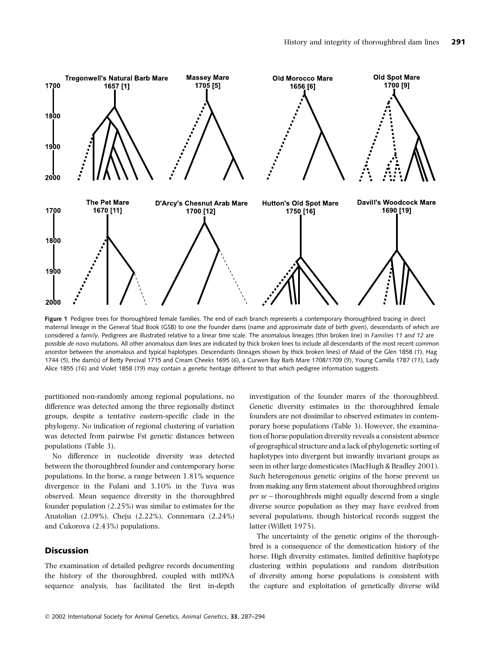

Figure 1 Pedigree trees for thoroughbred female families. The end of each branch represents a contemporary thoroughbred tracing in direct maternal lineage in the General Stud Book (GSB) to one the founder dams (name and approximate date of birth given), descendants of which are considered a family. Pedigrees are illustrated relative to a linear time scale. The anomalous lineages (thin broken line) in Families 11 and 12 are possible de novo mutations. All other anomalous dam lines are indicated by thick broken lines to include all descendants of the most recent common ancestor between the anomalous and typical haplotypes. Descendants (lineages shown by thick broken lines) of Maid of the Glen 1858 (1), Hag 1744 (5), the dam(s) of Betty Percival 1715 and Cream Cheeks 1695 (6), a Curwen Bay Barb Mare 1708/1709 (9), Young Camilla 1787 (11), Lady Alice 1855 (16) and Violet 1858 (19) may contain a genetic heritage different to that which pedigree information suggests.

partitioned non-randomly among regional populations, no difference was detected among the three regionally distinct groups, despite a tentative eastern-specific clade in the phylogeny. No indication of regional clustering of variation was detected from pairwise Fst genetic distances between populations (Table 3).

No difference in nucleotide diversity was detected between the thoroughbred founder and contemporary horse populations. In the horse, a range between 1.81% sequence divergence in the Fulani and 3.10% in the Tuva was observed. Mean sequence diversity in the thoroughbred founder population (2.25%) was similar to estimates for the Anatolian (2.09%), Cheju (2.22%), Connemara (2.24%) and Cukorova (2.43%) populations.

#### Discussion

The examination of detailed pedigree records documenting the history of the thoroughbred, coupled with mtDNA sequence analysis, has facilitated the first in-depth

investigation of the founder mares of the thoroughbred. Genetic diversity estimates in the thoroughbred female founders are not dissimilar to observed estimates in contemporary horse populations (Table 3). However, the examination of horse population diversity reveals a consistent absence of geographical structure and a lack of phylogenetic sorting of haplotypes into divergent but inwardly invariant groups as seen in other large domesticates (MacHugh & Bradley 2001). Such heterogenous genetic origins of the horse prevent us from making any firm statement about thoroughbred origins per se – thoroughbreds might equally descend from a single diverse source population as they may have evolved from several populations, though historical records suggest the latter (Willett 1975).

The uncertainty of the genetic origins of the thoroughbred is a consequence of the domestication history of the horse. High diversity estimates, limited definitive haplotype clustering within populations and random distribution of diversity among horse populations is consistent with the capture and exploitation of genetically diverse wild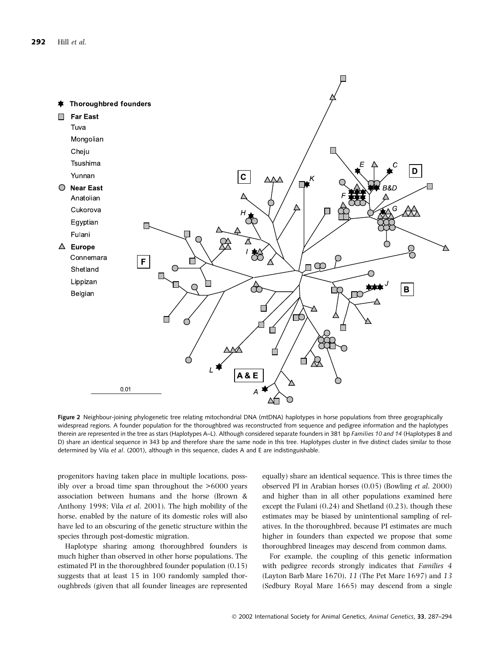

Figure 2 Neighbour-joining phylogenetic tree relating mitochondrial DNA (mtDNA) haplotypes in horse populations from three geographically widespread regions. A founder population for the thoroughbred was reconstructed from sequence and pedigree information and the haplotypes therein are represented in the tree as stars (Haplotypes A–L). Although considered separate founders in 381 bp Families 10 and 14 (Haplotypes B and D) share an identical sequence in 343 bp and therefore share the same node in this tree. Haplotypes cluster in five distinct clades similar to those determined by Vila et al. (2001), although in this sequence, clades A and E are indistinguishable.

progenitors having taken place in multiple locations, possibly over a broad time span throughout the >6000 years association between humans and the horse (Brown & Anthony 1998; Vila et al. 2001). The high mobility of the horse, enabled by the nature of its domestic roles will also have led to an obscuring of the genetic structure within the species through post-domestic migration.

Haplotype sharing among thoroughbred founders is much higher than observed in other horse populations. The estimated PI in the thoroughbred founder population (0.15) suggests that at least 15 in 100 randomly sampled thoroughbreds (given that all founder lineages are represented equally) share an identical sequence. This is three times the observed PI in Arabian horses (0.05) (Bowling et al. 2000) and higher than in all other populations examined here except the Fulani (0.24) and Shetland (0.23), though these estimates may be biased by unintentional sampling of relatives. In the thoroughbred, because PI estimates are much higher in founders than expected we propose that some thoroughbred lineages may descend from common dams.

For example, the coupling of this genetic information with pedigree records strongly indicates that Families 4 (Layton Barb Mare 1670), 11 (The Pet Mare 1697) and 13 (Sedbury Royal Mare 1665) may descend from a single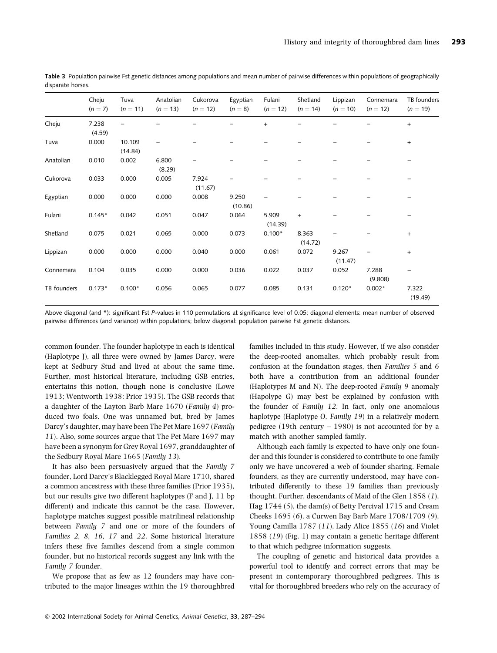|             | Cheju<br>$(n = 7)$ | Tuva<br>$(n = 11)$ | Anatolian<br>$(n = 13)$ | Cukorova<br>$(n = 12)$ | Egyptian<br>$(n = 8)$ | Fulani<br>$(n = 12)$ | Shetland<br>$(n = 14)$ | Lippizan<br>$(n = 10)$ | Connemara<br>$(n = 12)$ | TB founders<br>$(n = 19)$ |
|-------------|--------------------|--------------------|-------------------------|------------------------|-----------------------|----------------------|------------------------|------------------------|-------------------------|---------------------------|
| Cheju       | 7.238<br>(4.59)    |                    |                         |                        |                       | $+$                  |                        |                        |                         | $+$                       |
| Tuva        | 0.000              | 10.109<br>(14.84)  |                         |                        |                       |                      |                        |                        |                         | $+$                       |
| Anatolian   | 0.010              | 0.002              | 6.800<br>(8.29)         |                        |                       |                      |                        |                        |                         |                           |
| Cukorova    | 0.033              | 0.000              | 0.005                   | 7.924<br>(11.67)       |                       |                      |                        |                        |                         |                           |
| Egyptian    | 0.000              | 0.000              | 0.000                   | 0.008                  | 9.250<br>(10.86)      |                      |                        |                        |                         |                           |
| Fulani      | $0.145*$           | 0.042              | 0.051                   | 0.047                  | 0.064                 | 5.909<br>(14.39)     | $\ddot{}$              |                        |                         |                           |
| Shetland    | 0.075              | 0.021              | 0.065                   | 0.000                  | 0.073                 | $0.100*$             | 8.363<br>(14.72)       |                        |                         | $+$                       |
| Lippizan    | 0.000              | 0.000              | 0.000                   | 0.040                  | 0.000                 | 0.061                | 0.072                  | 9.267<br>(11.47)       |                         | $+$                       |
| Connemara   | 0.104              | 0.035              | 0.000                   | 0.000                  | 0.036                 | 0.022                | 0.037                  | 0.052                  | 7.288<br>(9.808)        |                           |
| TB founders | $0.173*$           | $0.100*$           | 0.056                   | 0.065                  | 0.077                 | 0.085                | 0.131                  | $0.120*$               | $0.002*$                | 7.322<br>(19.49)          |

Table 3 Population pairwise Fst genetic distances among populations and mean number of pairwise differences within populations of geographically disparate horses.

Above diagonal (and \*): significant Fst P-values in 110 permutations at significance level of 0.05; diagonal elements: mean number of observed pairwise differences (and variance) within populations; below diagonal: population pairwise Fst genetic distances.

common founder. The founder haplotype in each is identical (Haplotype J), all three were owned by James Darcy, were kept at Sedbury Stud and lived at about the same time. Further, most historical literature, including GSB entries, entertains this notion, though none is conclusive (Lowe 1913; Wentworth 1938; Prior 1935). The GSB records that a daughter of the Layton Barb Mare 1670 (Family 4) produced two foals. One was unnamed but, bred by James Darcy's daughter, may have been The Pet Mare 1697 (Family 11). Also, some sources argue that The Pet Mare 1697 may have been a synonym for Grey Royal 1697, granddaughter of the Sedbury Royal Mare 1665 (Family 13).

It has also been persuasively argued that the Family 7 founder, Lord Darcy's Blacklegged Royal Mare 1710, shared a common ancestress with these three families (Prior 1935), but our results give two different haplotypes (F and J, 11 bp different) and indicate this cannot be the case. However, haplotype matches suggest possible matrilineal relationship between Family 7 and one or more of the founders of Families 2, 8, 16, 17 and 22. Some historical literature infers these five families descend from a single common founder, but no historical records suggest any link with the Family 7 founder.

We propose that as few as 12 founders may have contributed to the major lineages within the 19 thoroughbred families included in this study. However, if we also consider the deep-rooted anomalies, which probably result from confusion at the foundation stages, then Families 5 and 6 both have a contribution from an additional founder (Haplotypes M and N). The deep-rooted Family 9 anomaly (Hapolype G) may best be explained by confusion with the founder of Family 12. In fact, only one anomalous haplotype (Haplotype O, Family 19) in a relatively modern pedigree (19th century  $-$  1980) is not accounted for by a match with another sampled family.

Although each family is expected to have only one founder and this founder is considered to contribute to one family only we have uncovered a web of founder sharing. Female founders, as they are currently understood, may have contributed differently to these 19 families than previously thought. Further, descendants of Maid of the Glen 1858 (1), Hag 1744 (5), the dam(s) of Betty Percival 1715 and Cream Cheeks 1695 (6), a Curwen Bay Barb Mare 1708/1709 (9), Young Camilla 1787 (11), Lady Alice 1855 (16) and Violet 1858 (19) (Fig. 1) may contain a genetic heritage different to that which pedigree information suggests.

The coupling of genetic and historical data provides a powerful tool to identify and correct errors that may be present in contemporary thoroughbred pedigrees. This is vital for thoroughbred breeders who rely on the accuracy of